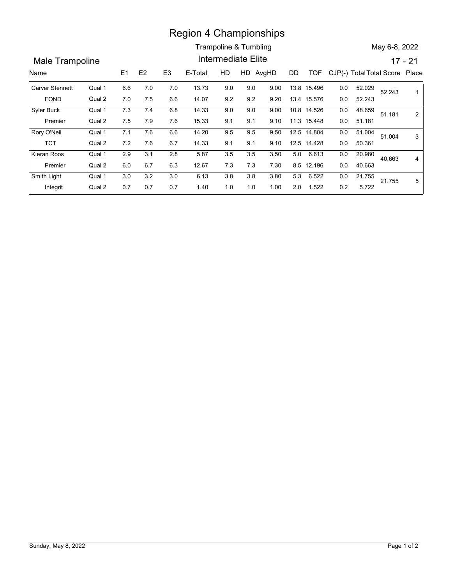## Region 4 Championships

|                         |                  |     |         |                | <b>Region 4 Championships</b> |     |                       |      |    |             |         |                                |               |                |
|-------------------------|------------------|-----|---------|----------------|-------------------------------|-----|-----------------------|------|----|-------------|---------|--------------------------------|---------------|----------------|
|                         |                  |     |         |                |                               |     | Trampoline & Tumbling |      |    |             |         |                                | May 6-8, 2022 |                |
| <b>Male Trampoline</b>  |                  |     |         |                |                               |     | Intermediate Elite    |      |    |             |         |                                | $17 - 21$     |                |
| Name                    |                  | E1  | E2      | E <sub>3</sub> | E-Total                       | HD  | HD AvgHD              |      | DD | <b>TOF</b>  |         | CJP(-) Total Total Score Place |               |                |
| <b>Carver Stennett</b>  | Qual 1           | 6.6 | 7.0     | 7.0            | 13.73                         | 9.0 | 9.0                   | 9.00 |    | 13.8 15.496 | 0.0     | 52.029                         | 52.243        | $\mathbf{1}$   |
| <b>FOND</b>             | Qual 2           | 7.0 | 7.5     | 6.6            | 14.07                         | 9.2 | 9.2                   | 9.20 |    | 13.4 15.576 | $0.0\,$ | 52.243                         |               |                |
| Syler Buck              | Qual 1           | 7.3 | 7.4     | 6.8            | 14.33                         | 9.0 | 9.0                   | 9.00 |    | 10.8 14.526 | $0.0\,$ | 48.659                         | 51.181        | $\overline{2}$ |
| Premier                 | Qual 2           | 7.5 | 7.9     | 7.6            | 15.33                         | 9.1 | 9.1                   | 9.10 |    | 11.3 15.448 | 0.0     | 51.181                         |               |                |
| Rory O'Neil             | Qual 1           | 7.1 | 7.6     | 6.6            | 14.20                         | 9.5 | 9.5                   | 9.50 |    | 12.5 14.804 | 0.0     | 51.004                         | 51.004        | 3              |
|                         | Qual 2           | 7.2 | 7.6     | 6.7            | 14.33                         | 9.1 | 9.1                   | 9.10 |    | 12.5 14.428 | 0.0     | 50.361                         |               |                |
| <b>TCT</b>              | Qual 1           | 2.9 | 3.1     | 2.8            | 5.87                          | 3.5 | 3.5                   | 3.50 |    | 5.0 6.613   | 0.0     | 20.980                         | 40.663        | $\overline{4}$ |
| Kieran Roos             |                  |     | 6.7     | 6.3            | 12.67                         | 7.3 | 7.3                   | 7.30 |    | 8.5 12.196  | 0.0     | 40.663                         |               |                |
| Premier                 | Qual 2           | 6.0 |         |                |                               |     | $3.8\,$               | 3.80 |    | 5.3 6.522   | $0.0\,$ | 21.755                         | 21.755        | $\overline{5}$ |
| Smith Light<br>Integrit | Qual 1<br>Qual 2 | 3.0 | $3.2\,$ | 3.0            | 6.13                          | 3.8 |                       |      |    | 2.0 1.522   |         | 5.722                          |               |                |